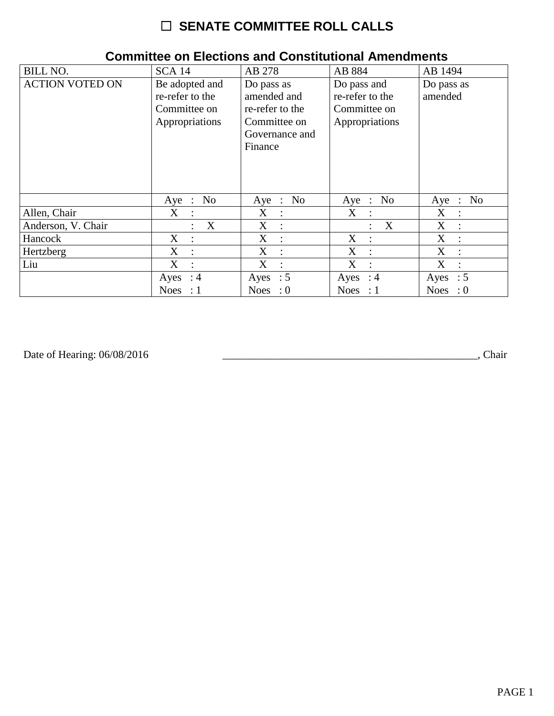# ☐ **SENATE COMMITTEE ROLL CALLS**

| <b>BILL NO.</b>        | <b>SCA 14</b>                                                       | AB 278                                                                                    | AB 884                                                           | AB 1494                             |
|------------------------|---------------------------------------------------------------------|-------------------------------------------------------------------------------------------|------------------------------------------------------------------|-------------------------------------|
| <b>ACTION VOTED ON</b> | Be adopted and<br>re-refer to the<br>Committee on<br>Appropriations | Do pass as<br>amended and<br>re-refer to the<br>Committee on<br>Governance and<br>Finance | Do pass and<br>re-refer to the<br>Committee on<br>Appropriations | Do pass as<br>amended               |
|                        | No<br>$Aye$ :                                                       | Aye : No                                                                                  | Aye : No                                                         | $\therefore$ No<br>Aye              |
| Allen, Chair           | $X_{\mathcal{L}}$<br>$\ddot{\cdot}$                                 | X<br>$\ddot{\cdot}$                                                                       | X<br>$\ddot{\cdot}$                                              | X<br>$\ddot{\cdot}$                 |
| Anderson, V. Chair     | X<br>$\ddot{\cdot}$                                                 | X<br>$\ddot{\cdot}$                                                                       | $\boldsymbol{X}$<br>$\ddot{\phantom{a}}$                         | X<br>$\ddot{\cdot}$                 |
| Hancock                | X<br>$\ddot{\cdot}$                                                 | $X_{\mathcal{C}}$<br>$\ddot{\phantom{a}}$                                                 | X<br>$\ddot{\phantom{a}}$                                        | X<br>$\ddot{\cdot}$                 |
| Hertzberg              | X<br>$\ddot{\cdot}$                                                 | X<br>$\ddot{\phantom{a}}$                                                                 | X<br>$\ddot{\phantom{a}}$                                        | X<br>$\ddot{\cdot}$                 |
| Liu                    | X                                                                   | X<br>$\ddot{\cdot}$                                                                       | X<br>$\cdot$ :                                                   | $X_{\mathcal{L}}$<br>$\ddot{\cdot}$ |
|                        | $\therefore$ 4<br>Ayes                                              | Ayes : $5$                                                                                | Ayes : $4$                                                       | Ayes : $5$                          |
|                        | Noes : $1$                                                          | Noes : $0$                                                                                | Noes : $1$                                                       | Noes : $0$                          |

#### **Committee on Elections and Constitutional Amendments**

Date of Hearing: 06/08/2016 \_\_\_\_\_\_\_\_\_\_\_\_\_\_\_\_\_\_\_\_\_\_\_\_\_\_\_\_\_\_\_\_\_\_\_\_\_\_\_\_\_\_\_\_\_\_\_, Chair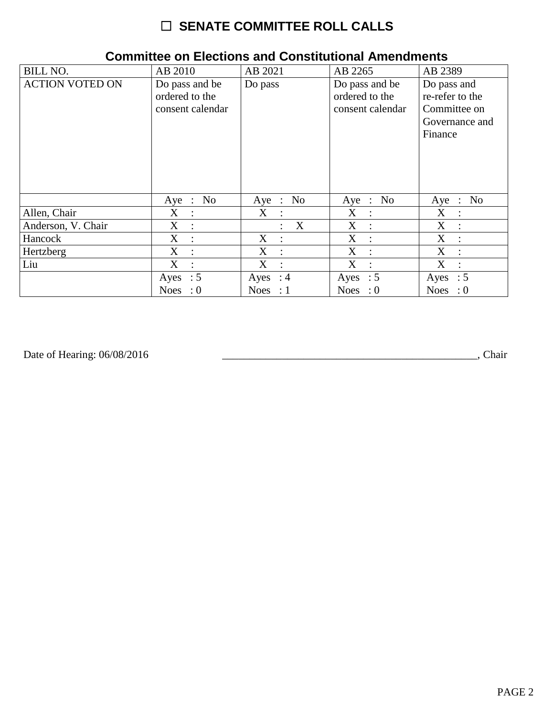# ☐ **SENATE COMMITTEE ROLL CALLS**

| <b>BILL NO.</b>        | AB 2010                                              | AB 2021           | AB 2265                                              | AB 2389                                                                     |
|------------------------|------------------------------------------------------|-------------------|------------------------------------------------------|-----------------------------------------------------------------------------|
| <b>ACTION VOTED ON</b> | Do pass and be<br>ordered to the<br>consent calendar | Do pass           | Do pass and be<br>ordered to the<br>consent calendar | Do pass and<br>re-refer to the<br>Committee on<br>Governance and<br>Finance |
|                        | No<br>$Aye$ :                                        | Aye : $No$        | Aye : No                                             | Aye : No                                                                    |
| Allen, Chair           | $\mathbf X$                                          | $X_{\mathcal{C}}$ | X                                                    | X                                                                           |
|                        | $\ddot{\cdot}$                                       | $\ddot{\cdot}$    | $\ddot{\phantom{a}}$                                 | $\ddot{\phantom{a}}$                                                        |
| Anderson, V. Chair     | X                                                    | X                 | $X_{\mathcal{E}}$                                    | X                                                                           |
|                        | $\ddot{\cdot}$                                       | ÷                 | $\cdot$ :                                            | $\ddot{\cdot}$                                                              |
| Hancock                | X                                                    | $X_{\mathcal{I}}$ | X                                                    | X                                                                           |
|                        | $\ddot{\cdot}$                                       | $\ddot{\cdot}$    | $\cdot$ :                                            | $\ddot{\cdot}$                                                              |
| Hertzberg              | $X_{\mathcal{L}}$                                    | $X_{\mathcal{C}}$ | $X_{\mathcal{C}}$                                    | X                                                                           |
|                        | $\cdot$                                              | $\ddot{\cdot}$    | $\sim 10^7$                                          | $\ddot{\cdot}$                                                              |
| Liu                    | X                                                    | $X_{\mathcal{L}}$ | X                                                    | X                                                                           |
|                        | $\cdot$ .                                            | $\sim$ 1          | $\mathcal{L}$                                        | $\ddot{\cdot}$                                                              |
|                        | Ayes : $5$                                           | Ayes : $4$        | Ayes : $5$                                           | Ayes : $5$                                                                  |
|                        | Noes : $0$                                           | Noes : $1$        | Noes : $0$                                           | Noes : $0$                                                                  |

#### **Committee on Elections and Constitutional Amendments**

Date of Hearing: 06/08/2016 \_\_\_\_\_\_\_\_\_\_\_\_\_\_\_\_\_\_\_\_\_\_\_\_\_\_\_\_\_\_\_\_\_\_\_\_\_\_\_\_\_\_\_\_\_\_\_, Chair